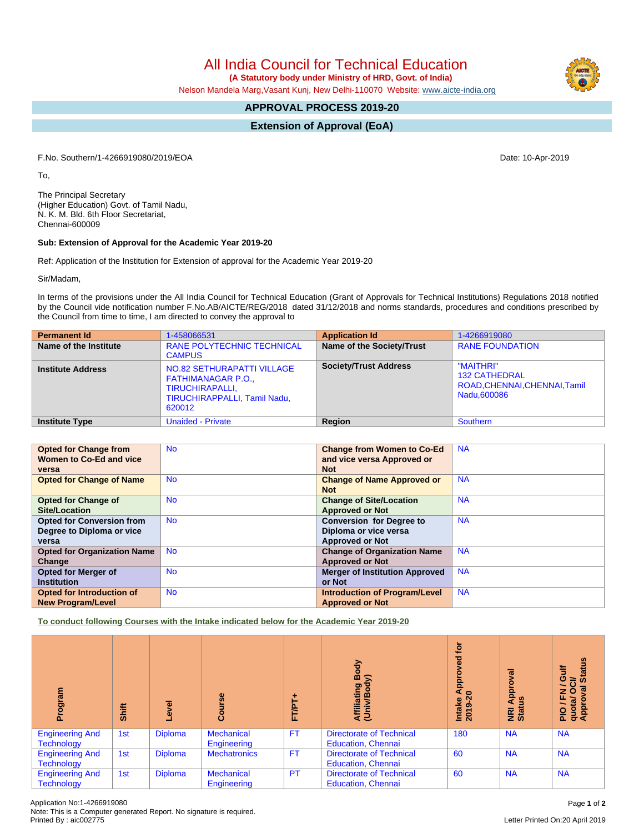All India Council for Technical Education

 **(A Statutory body under Ministry of HRD, Govt. of India)**

Nelson Mandela Marg,Vasant Kunj, New Delhi-110070 Website: [www.aicte-india.org](http://www.aicte-india.org)

# **APPROVAL PROCESS 2019-20**

**Extension of Approval (EoA)**

F.No. Southern/1-4266919080/2019/EOA Date: 10-Apr-2019

To,

The Principal Secretary (Higher Education) Govt. of Tamil Nadu, N. K. M. Bld. 6th Floor Secretariat, Chennai-600009

# **Sub: Extension of Approval for the Academic Year 2019-20**

Ref: Application of the Institution for Extension of approval for the Academic Year 2019-20

Sir/Madam,

In terms of the provisions under the All India Council for Technical Education (Grant of Approvals for Technical Institutions) Regulations 2018 notified by the Council vide notification number F.No.AB/AICTE/REG/2018 dated 31/12/2018 and norms standards, procedures and conditions prescribed by the Council from time to time, I am directed to convey the approval to

| <b>Permanent Id</b>      | 1-458066531                                                                                                                 | <b>Application Id</b>        | 1-4266919080                                                                      |  |  |  |
|--------------------------|-----------------------------------------------------------------------------------------------------------------------------|------------------------------|-----------------------------------------------------------------------------------|--|--|--|
| Name of the Institute    | <b>RANE POLYTECHNIC TECHNICAL</b><br><b>CAMPUS</b>                                                                          | Name of the Society/Trust    | <b>RANE FOUNDATION</b>                                                            |  |  |  |
| <b>Institute Address</b> | NO.82 SETHURAPATTI VILLAGE<br><b>FATHIMANAGAR P.O.,</b><br>TIRUCHIRAPALLI,<br><b>TIRUCHIRAPPALLI, Tamil Nadu.</b><br>620012 | <b>Society/Trust Address</b> | "MAITHRI"<br><b>132 CATHEDRAL</b><br>ROAD, CHENNAI, CHENNAI, Tamil<br>Nadu.600086 |  |  |  |
| <b>Institute Type</b>    | <b>Unaided - Private</b>                                                                                                    | Region                       | Southern                                                                          |  |  |  |

| <b>Opted for Change from</b><br>Women to Co-Ed and vice | <b>No</b> | <b>Change from Women to Co-Ed</b><br>and vice versa Approved or<br><b>Not</b> | <b>NA</b> |
|---------------------------------------------------------|-----------|-------------------------------------------------------------------------------|-----------|
| versa<br><b>Opted for Change of Name</b>                | <b>No</b> | <b>Change of Name Approved or</b>                                             | <b>NA</b> |
|                                                         |           | <b>Not</b>                                                                    |           |
| <b>Opted for Change of</b>                              | <b>No</b> | <b>Change of Site/Location</b>                                                | <b>NA</b> |
| Site/Location                                           |           | <b>Approved or Not</b>                                                        |           |
| <b>Opted for Conversion from</b>                        | <b>No</b> | <b>Conversion for Degree to</b>                                               | <b>NA</b> |
| Degree to Diploma or vice                               |           | Diploma or vice versa                                                         |           |
| versa                                                   |           | <b>Approved or Not</b>                                                        |           |
| <b>Opted for Organization Name</b>                      | <b>No</b> | <b>Change of Organization Name</b>                                            | <b>NA</b> |
| Change                                                  |           | <b>Approved or Not</b>                                                        |           |
| <b>Opted for Merger of</b>                              | <b>No</b> | <b>Merger of Institution Approved</b>                                         | <b>NA</b> |
| <b>Institution</b>                                      |           | or Not                                                                        |           |
| <b>Opted for Introduction of</b>                        | <b>No</b> | <b>Introduction of Program/Level</b>                                          | <b>NA</b> |
| <b>New Program/Level</b>                                |           | <b>Approved or Not</b>                                                        |           |

**To conduct following Courses with the Intake indicated below for the Academic Year 2019-20**

| Program                                     | Shift | Level          | Course                           | ۰<br>FT/PT | Body<br>≲<br>Affiliating<br>(Univ/Body                       | <u>jo</u><br>yed<br>Ö<br>윤<br>⋜<br>$\circ$<br>Intake<br>2019-20 | ख़<br>ppro<br>9<br>×.<br>NRI<br>Stat | <b>Status</b><br>ă<br>O<br>ಕ<br>∽<br>g<br>$\circ$<br>좂<br>quota/<br>Approv<br>$rac{Q}{R}$ |
|---------------------------------------------|-------|----------------|----------------------------------|------------|--------------------------------------------------------------|-----------------------------------------------------------------|--------------------------------------|-------------------------------------------------------------------------------------------|
| <b>Engineering And</b><br><b>Technology</b> | 1st   | <b>Diploma</b> | <b>Mechanical</b><br>Engineering | <b>FT</b>  | <b>Directorate of Technical</b><br><b>Education, Chennai</b> | 180                                                             | <b>NA</b>                            | <b>NA</b>                                                                                 |
| <b>Engineering And</b><br><b>Technology</b> | 1st   | <b>Diploma</b> | <b>Mechatronics</b>              | <b>FT</b>  | <b>Directorate of Technical</b><br><b>Education, Chennai</b> | 60                                                              | <b>NA</b>                            | <b>NA</b>                                                                                 |
| <b>Engineering And</b><br><b>Technology</b> | 1st   | <b>Diploma</b> | <b>Mechanical</b><br>Engineering | PT         | <b>Directorate of Technical</b><br><b>Education, Chennai</b> | 60                                                              | <b>NA</b>                            | <b>NA</b>                                                                                 |